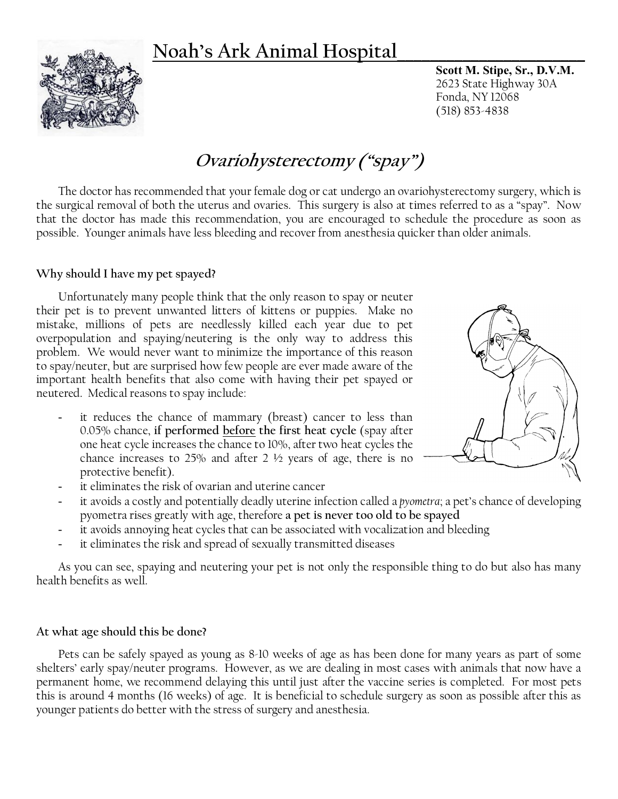# **Noah's Ark Animal Hospital\_\_\_\_\_\_\_\_\_\_\_\_\_\_\_\_\_\_\_\_\_\_\_**



**Scott M. Stipe, Sr., D.V.M.** 2623 State Highway 30A Fonda, NY 12068 (518) 853-4838

# **Ovariohysterectomy ("spay")**

The doctor has recommended that your female dog or cat undergo an ovariohysterectomy surgery, which is the surgical removal of both the uterus and ovaries. This surgery is also at times referred to as a "spay". Now that the doctor has made this recommendation, you are encouraged to schedule the procedure as soon as possible. Younger animals have less bleeding and recover from anesthesia quicker than older animals.

### **Why should I have my pet spayed?**

Unfortunately many people think that the only reason to spay or neuter their pet is to prevent unwanted litters of kittens or puppies. Make no mistake, millions of pets are needlessly killed each year due to pet overpopulation and spaying/neutering is the only way to address this problem. We would never want to minimize the importance of this reason to spay/neuter, but are surprised how few people are ever made aware of the important health benefits that also come with having their pet spayed or neutered. Medical reasons to spay include:

it reduces the chance of mammary (breast) cancer to less than 0.05% chance, **if performed before the first heat cycle** (spay after one heat cycle increases the chance to 10%, after two heat cycles the chance increases to 25% and after 2  $\frac{1}{2}$  years of age, there is no protective benefit).



- it eliminates the risk of ovarian and uterine cancer
- it avoids a costly and potentially deadly uterine infection called a *pyometra*; a pet's chance of developing pyometra rises greatly with age, therefore **a pet is never too old to be spayed**
- it avoids annoying heat cycles that can be associated with vocalization and bleeding
- it eliminates the risk and spread of sexually transmitted diseases

As you can see, spaying and neutering your pet is not only the responsible thing to do but also has many health benefits as well.

#### **At what age should this be done?**

Pets can be safely spayed as young as 8-10 weeks of age as has been done for many years as part of some shelters' early spay/neuter programs. However, as we are dealing in most cases with animals that now have a permanent home, we recommend delaying this until just after the vaccine series is completed. For most pets this is around 4 months (16 weeks) of age. It is beneficial to schedule surgery as soon as possible after this as younger patients do better with the stress of surgery and anesthesia.